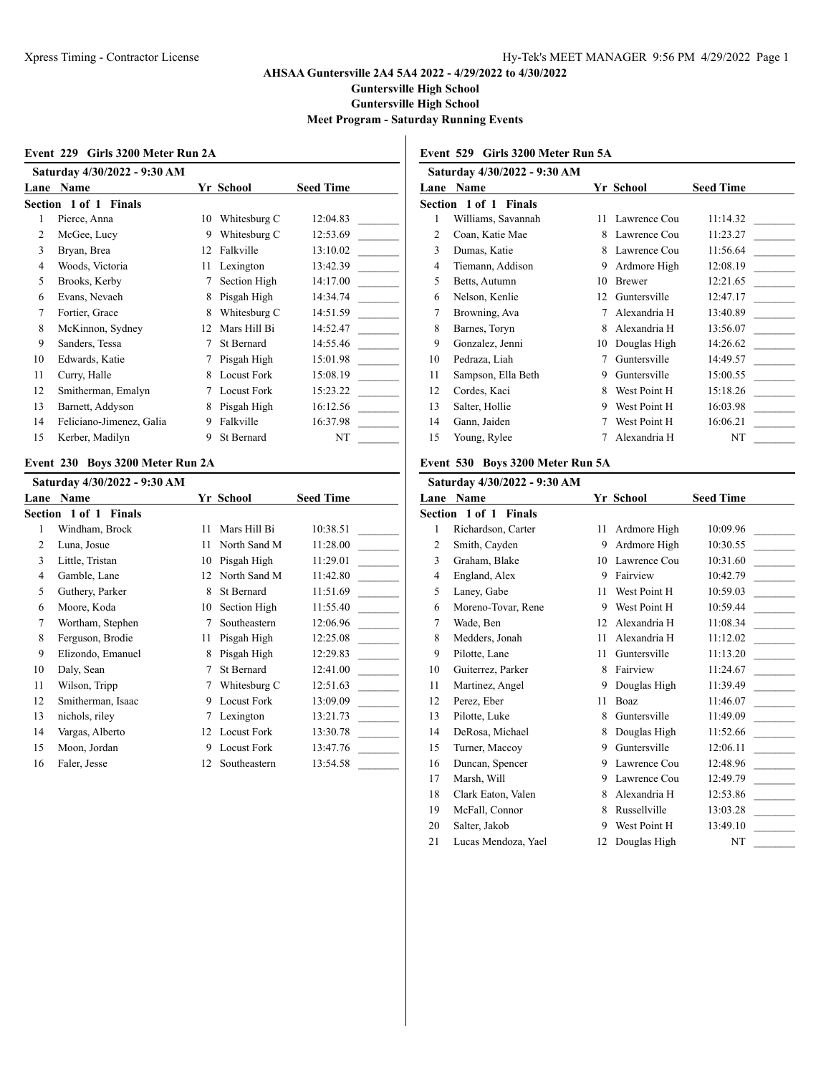**Guntersville High School**

**Guntersville High School**

**Meet Program - Saturday Running Events**

#### **Event 229 Girls 3200 Meter Run 2A**

|      | Saturday 4/30/2022 - 9:30 AM |    |                    |                  |  |  |
|------|------------------------------|----|--------------------|------------------|--|--|
| Lane | Name                         |    | Yr School          | <b>Seed Time</b> |  |  |
|      | Section 1 of 1 Finals        |    |                    |                  |  |  |
| 1    | Pierce, Anna                 | 10 | Whitesburg C       | 12:04.83         |  |  |
| 2    | McGee, Lucy                  | 9  | Whitesburg C       | 12:53.69         |  |  |
| 3    | Bryan, Brea                  | 12 | Falkville          | 13:10.02         |  |  |
| 4    | Woods, Victoria              | 11 | Lexington          | 13:42.39         |  |  |
| 5    | Brooks, Kerby                | 7  | Section High       | 14:17.00         |  |  |
| 6    | Evans, Nevaeh                | 8  | Pisgah High        | 14:34.74         |  |  |
| 7    | Fortier, Grace               | 8  | Whitesburg C       | 14:51.59         |  |  |
| 8    | McKinnon, Sydney             | 12 | Mars Hill Bi       | 14:52.47         |  |  |
| 9    | Sanders, Tessa               | 7  | St Bernard         | 14:55.46         |  |  |
| 10   | Edwards, Katie               | 7  | Pisgah High        | 15:01.98         |  |  |
| 11   | Curry, Halle                 | 8  | <b>Locust Fork</b> | 15:08.19         |  |  |
| 12   | Smitherman, Emalyn           |    | <b>Locust Fork</b> | 15:23.22         |  |  |
| 13   | Barnett, Addyson             | 8  | Pisgah High        | 16:12.56         |  |  |
| 14   | Feliciano-Jimenez, Galia     | 9  | Falkville          | 16:37.98         |  |  |
| 15   | Kerber, Madilyn              | 9  | St Bernard         | NT               |  |  |

### **Event 230 Boys 3200 Meter Run 2A**

|      | Saturday 4/30/2022 - 9:30 AM    |    |                    |                  |
|------|---------------------------------|----|--------------------|------------------|
| Lane | <b>Name</b>                     |    | Yr School          | <b>Seed Time</b> |
|      | Section 1 of 1<br><b>Finals</b> |    |                    |                  |
| 1    | Windham, Brock                  | 11 | Mars Hill Bi       | 10:38.51         |
| 2    | Luna, Josue                     | 11 | North Sand M       | 11:28.00         |
| 3    | Little, Tristan                 | 10 | Pisgah High        | 11:29.01         |
| 4    | Gamble, Lane                    | 12 | North Sand M       | 11:42.80         |
| 5    | Guthery, Parker                 | 8  | St Bernard         | 11:51.69         |
| 6    | Moore, Koda                     | 10 | Section High       | 11:55.40         |
| 7    | Wortham, Stephen                | 7  | Southeastern       | 12:06.96         |
| 8    | Ferguson, Brodie                | 11 | Pisgah High        | 12:25.08         |
| 9    | Elizondo, Emanuel               | 8  | Pisgah High        | 12:29.83         |
| 10   | Daly, Sean                      |    | St Bernard         | 12:41.00         |
| 11   | Wilson, Tripp                   | 7  | Whitesburg C       | 12:51.63         |
| 12   | Smitherman, Isaac               | 9  | <b>Locust Fork</b> | 13:09.09         |
| 13   | nichols, riley                  | 7  | Lexington          | 13:21.73         |
| 14   | Vargas, Alberto                 | 12 | <b>Locust Fork</b> | 13:30.78         |
| 15   | Moon, Jordan                    | 9  | <b>Locust Fork</b> | 13:47.76         |
| 16   | Faler, Jesse                    | 12 | Southeastern       | 13:54.58         |

# **Event 529 Girls 3200 Meter Run 5A**

|      | Saturday 4/30/2022 - 9:30 AM |    |               |                  |
|------|------------------------------|----|---------------|------------------|
| Lane | <b>Name</b>                  |    | Yr School     | <b>Seed Time</b> |
|      | <b>Section 1 of 1 Finals</b> |    |               |                  |
| 1    | Williams, Savannah           | 11 | Lawrence Cou  | 11:14.32         |
| 2    | Coan, Katie Mae              | 8  | Lawrence Cou  | 11:23.27         |
| 3    | Dumas, Katie                 | 8  | Lawrence Cou  | 11:56.64         |
| 4    | Tiemann, Addison             | 9  | Ardmore High  | 12:08.19         |
| 5    | Betts, Autumn                | 10 | <b>Brewer</b> | 12:21.65         |
| 6    | Nelson, Kenlie               | 12 | Guntersville  | 12:47.17         |
| 7    | Browning, Ava                | 7  | Alexandria H  | 13:40.89         |
| 8    | Barnes, Toryn                | 8  | Alexandria H  | 13:56.07         |
| 9    | Gonzalez, Jenni              | 10 | Douglas High  | 14:26.62         |
| 10   | Pedraza, Liah                | 7  | Guntersville  | 14:49.57         |
| 11   | Sampson, Ella Beth           | 9  | Guntersville  | 15:00.55         |
| 12   | Cordes, Kaci                 | 8  | West Point H  | 15:18.26         |
| 13   | Salter, Hollie               | 9  | West Point H  | 16:03.98         |
| 14   | Gann, Jaiden                 | 7  | West Point H  | 16:06.21         |
| 15   | Young, Rylee                 | 7  | Alexandria H  | NT               |
|      |                              |    |               |                  |

### **Event 530 Boys 3200 Meter Run 5A**

|                | Saturday 4/30/2022 - 9:30 AM |    |              |                  |
|----------------|------------------------------|----|--------------|------------------|
| Lane           | Name                         |    | Yr School    | <b>Seed Time</b> |
|                | Section 1 of 1 Finals        |    |              |                  |
| 1              | Richardson, Carter           | 11 | Ardmore High | 10:09.96         |
| $\overline{2}$ | Smith, Cayden                | 9  | Ardmore High | 10:30.55         |
| 3              | Graham, Blake                | 10 | Lawrence Cou | 10:31.60         |
| 4              | England, Alex                | 9  | Fairview     | 10:42.79         |
| 5              | Laney, Gabe                  | 11 | West Point H | 10:59.03         |
| 6              | Moreno-Tovar, Rene           | 9  | West Point H | 10:59.44         |
| 7              | Wade, Ben                    | 12 | Alexandria H | 11:08.34         |
| 8              | Medders, Jonah               | 11 | Alexandria H | 11:12.02         |
| 9              | Pilotte, Lane                | 11 | Guntersville | 11:13.20         |
| 10             | Guiterrez, Parker            | 8  | Fairview     | 11:24.67         |
| 11             | Martinez, Angel              | 9  | Douglas High | 11:39.49         |
| 12             | Perez, Eber                  | 11 | Boaz         | 11:46.07         |
| 13             | Pilotte, Luke                | 8  | Guntersville | 11:49.09         |
| 14             | DeRosa, Michael              | 8  | Douglas High | 11:52.66         |
| 15             | Turner, Maccoy               | 9  | Guntersville | 12:06.11         |
| 16             | Duncan, Spencer              | 9  | Lawrence Cou | 12:48.96         |
| 17             | Marsh, Will                  | 9  | Lawrence Cou | 12:49.79         |
| 18             | Clark Eaton, Valen           | 8  | Alexandria H | 12:53.86         |
| 19             | McFall, Connor               | 8  | Russellville | 13:03.28         |
| 20             | Salter, Jakob                | 9  | West Point H | 13:49.10         |
| 21             | Lucas Mendoza, Yael          | 12 | Douglas High | NT               |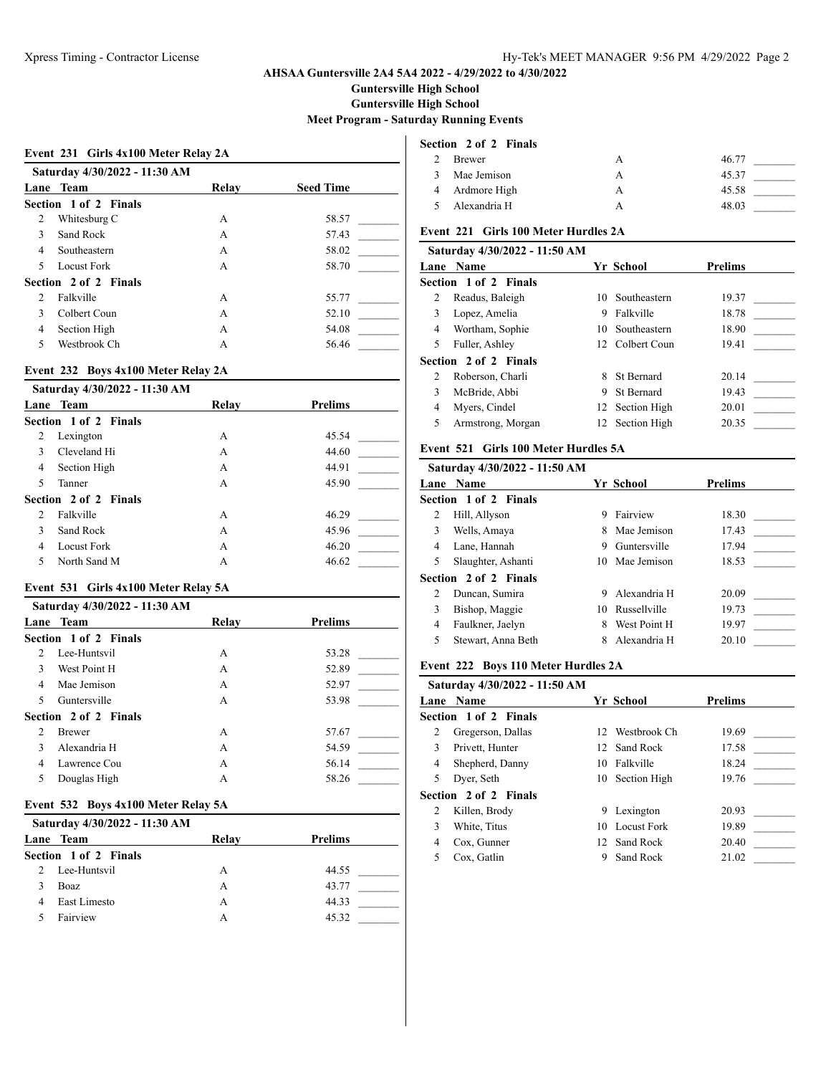**Guntersville High School**

**Guntersville High School**

### **Meet Program - Saturday Running Events**

#### **Event 231 Girls 4x100 Meter Relay 2A**

|                | Saturday 4/30/2022 - 11:30 AM |       |                  |  |  |  |
|----------------|-------------------------------|-------|------------------|--|--|--|
| Lane           | Team                          | Relay | <b>Seed Time</b> |  |  |  |
|                | Section 1 of 2 Finals         |       |                  |  |  |  |
| 2              | Whitesburg C                  | A     | 58.57            |  |  |  |
| $\mathbf{3}$   | Sand Rock                     | A     | 57.43            |  |  |  |
| $\overline{4}$ | Southeastern                  | А     | 58.02            |  |  |  |
| 5              | Locust Fork                   | A     | 58.70            |  |  |  |
|                | Section 2 of 2 Finals         |       |                  |  |  |  |
| $\mathcal{L}$  | Falkville                     | A     | 55.77            |  |  |  |
| $\mathcal{E}$  | Colbert Coun                  | A     | 52.10            |  |  |  |
| 4              | Section High                  | А     | 54.08            |  |  |  |
| 5              | Westbrook Ch                  | A     | 56.46            |  |  |  |
|                |                               |       |                  |  |  |  |

#### **Event 232 Boys 4x100 Meter Relay 2A**

|                | Saturday 4/30/2022 - 11:30 AM |       |         |
|----------------|-------------------------------|-------|---------|
|                | Lane Team                     | Relay | Prelims |
|                | Section 1 of 2 Finals         |       |         |
| 2              | Lexington                     | A     | 45.54   |
| 3              | Cleveland Hi                  | A     | 44.60   |
| 4              | Section High                  | A     | 44.91   |
| 5              | Tanner                        | A     | 45.90   |
|                | Section 2 of 2 Finals         |       |         |
| $\mathfrak{D}$ | Falkville                     | А     | 46.29   |
| 3              | Sand Rock                     | A     | 45.96   |
| 4              | Locust Fork                   | А     | 46.20   |
| 5              | North Sand M                  | А     | 46.62   |

## **Event 531 Girls 4x100 Meter Relay 5A**

|                | Saturday 4/30/2022 - 11:30 AM |       |                |
|----------------|-------------------------------|-------|----------------|
|                | Lane Team                     | Relay | <b>Prelims</b> |
|                | Section 1 of 2 Finals         |       |                |
| $\mathfrak{D}$ | Lee-Huntsvil                  | A     | 53.28          |
| 3              | West Point H                  | A     | 52.89          |
| 4              | Mae Jemison                   | A     | 52.97          |
| 5              | Guntersville                  | А     | 53.98          |
|                | Section 2 of 2 Finals         |       |                |
| $\mathcal{L}$  | <b>Brewer</b>                 | A     | 57.67          |
| 3              | Alexandria H                  | A     | 54.59          |
| 4              | Lawrence Cou                  | A     | 56.14          |
| 5              | Douglas High                  | A     | 58.26          |

#### **Event 532 Boys 4x100 Meter Relay 5A**

| Saturday 4/30/2022 - 11:30 AM |       |         |
|-------------------------------|-------|---------|
| Lane Team                     | Relay | Prelims |
| Section 1 of 2 Finals         |       |         |
| Lee-Huntsvil                  | А     | 44.55   |
| Boaz                          | А     | 43.77   |
| East Limesto                  | А     | 44.33   |
| Fairview                      | А     | 45.32   |

### **Section 2 of 2 Finals**

|               | Brewer         | Α | 46.77 |
|---------------|----------------|---|-------|
| $\mathcal{R}$ | Mae Jemison    | А | 45.37 |
|               | 4 Ardmore High | А | 45.58 |
| $\sim$        | Alexandria H   |   | 48.03 |

## **Event 221 Girls 100 Meter Hurdles 2A**

|   | Saturday 4/30/2022 - 11:50 AM |   |                   |                |
|---|-------------------------------|---|-------------------|----------------|
|   | <b>Lane Name</b>              |   | Yr School         | <b>Prelims</b> |
|   | <b>Section 1 of 2 Finals</b>  |   |                   |                |
| 2 | Readus, Baleigh               |   | 10 Southeastern   | 19.37          |
| 3 | Lopez, Amelia                 | 9 | Falkville         | 18.78          |
| 4 | Wortham, Sophie               |   | 10 Southeastern   | 18.90          |
| 5 | Fuller, Ashley                |   | 12 Colbert Coun   | 19.41          |
|   | Section 2 of 2 Finals         |   |                   |                |
|   | Roberson, Charli              | 8 | <b>St Bernard</b> | 20.14          |
| 3 | McBride, Abbi                 | 9 | <b>St Bernard</b> | 19.43          |
| 4 | Myers, Cindel                 |   | 12 Section High   | 20.01          |
| 5 | Armstrong, Morgan             |   | 12 Section High   | 20.35          |
|   |                               |   |                   |                |

# **Event 521 Girls 100 Meter Hurdles 5A**

|   | Saturday 4/30/2022 - 11:50 AM |    |                |                |
|---|-------------------------------|----|----------------|----------------|
|   | <b>Lane Name</b>              |    | Yr School      | <b>Prelims</b> |
|   | <b>Section 1 of 2 Finals</b>  |    |                |                |
| 2 | Hill, Allyson                 | 9  | Fairview       | 18.30          |
| 3 | Wells, Amaya                  | 8. | Mae Jemison    | 17.43          |
| 4 | Lane, Hannah                  | 9  | Guntersville   | 17.94          |
| 5 | Slaughter, Ashanti            |    | 10 Mae Jemison | 18.53          |
|   | <b>Section 2 of 2 Finals</b>  |    |                |                |
|   | Duncan, Sumira                | 9  | Alexandria H   | 20.09          |
| 3 | Bishop, Maggie                | 10 | Russellville   | 19.73          |
| 4 | Faulkner, Jaelyn              | 8  | West Point H   | 19.97          |
| 5 | Stewart, Anna Beth            | 8  | Alexandria H   | 20.10          |
|   |                               |    |                |                |

#### **Event 222 Boys 110 Meter Hurdles 2A**

|   | Saturday 4/30/2022 - 11:50 AM<br><b>Lane Name</b> |   | Yr School       | <b>Prelims</b> |
|---|---------------------------------------------------|---|-----------------|----------------|
|   | <b>Section 1 of 2 Finals</b>                      |   |                 |                |
| 2 | Gregerson, Dallas                                 |   | 12 Westbrook Ch | 19.69          |
| 3 | Privett, Hunter                                   |   | 12 Sand Rock    | 17.58          |
| 4 | Shepherd, Danny                                   |   | 10 Falkville    | 18.24          |
| 5 | Dyer, Seth                                        |   | 10 Section High | 19.76          |
|   | <b>Section 2 of 2 Finals</b>                      |   |                 |                |
| 2 | Killen, Brody                                     | 9 | Lexington       | 20.93          |
| 3 | White, Titus                                      |   | 10 Locust Fork  | 19.89          |
| 4 | Cox, Gunner                                       |   | 12 Sand Rock    | 20.40          |
| 5 | Cox, Gatlin                                       | 9 | Sand Rock       | 21.02          |
|   |                                                   |   |                 |                |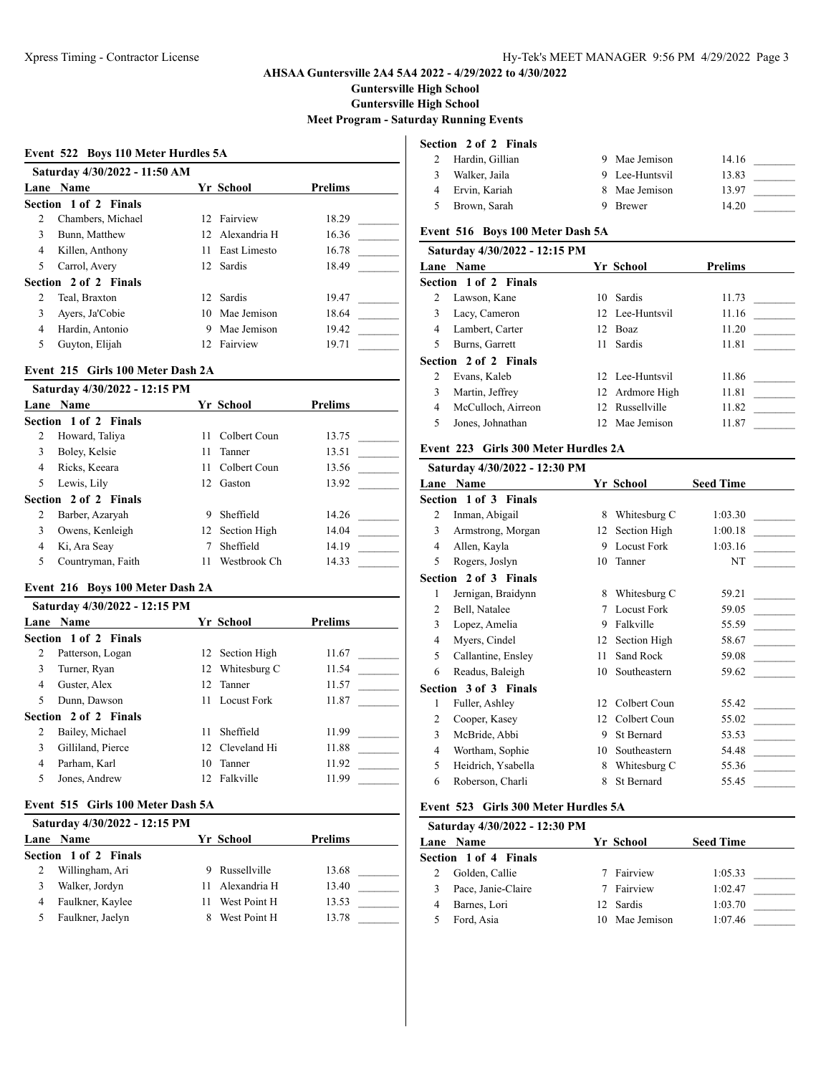**Guntersville High School**

**Guntersville High School**

**Meet Program - Saturday Running Events**

#### **Event 522 Boys 110 Meter Hurdles 5A**

|   | Saturday 4/30/2022 - 11:50 AM<br>Lane Name |     | Yr School       | <b>Prelims</b> |
|---|--------------------------------------------|-----|-----------------|----------------|
|   |                                            |     |                 |                |
|   | Section 1 of 2 Finals                      |     |                 |                |
| 2 | Chambers, Michael                          |     | 12 Fairview     | 18.29          |
| 3 | Bunn, Matthew                              |     | 12 Alexandria H | 16.36          |
| 4 | Killen, Anthony                            |     | 11 East Limesto | 16.78          |
| 5 | Carrol, Avery                              |     | 12 Sardis       | 18.49          |
|   | Section 2 of 2 Finals                      |     |                 |                |
| 2 | Teal, Braxton                              |     | 12 Sardis       | 19.47          |
| 3 | Ayers, Ja'Cobie                            |     | 10 Mae Jemison  | 18.64          |
| 4 | Hardin, Antonio                            | 9   | Mae Jemison     | 19.42          |
| 5 | Guyton, Elijah                             | 12. | Fairview        | 19.71          |

#### **Event 215 Girls 100 Meter Dash 2A**

|   | Saturday 4/30/2022 - 12:15 PM |     |                 |                |  |
|---|-------------------------------|-----|-----------------|----------------|--|
|   | Lane Name                     |     | Yr School       | <b>Prelims</b> |  |
|   | Section 1 of 2 Finals         |     |                 |                |  |
| 2 | Howard, Taliya                | 11  | Colbert Coun    | 13.75          |  |
| 3 | Boley, Kelsie                 | 11  | Tanner          | 13.51          |  |
| 4 | Ricks, Keeara                 | 11. | Colbert Coun    | 13.56          |  |
| 5 | Lewis, Lily                   | 12. | Gaston          | 13.92          |  |
|   | Section 2 of 2 Finals         |     |                 |                |  |
| 2 | Barber, Azaryah               | 9   | Sheffield       | 14.26          |  |
| 3 | Owens, Kenleigh               |     | 12 Section High | 14.04          |  |
| 4 | Ki, Ara Seay                  |     | Sheffield       | 14.19          |  |
| 5 | Countryman, Faith             | 11  | Westbrook Ch    | 14.33          |  |

# **Event 216 Boys 100 Meter Dash 2A**

| Saturday 4/30/2022 - 12:15 PM |     |           |                                                                                                                             |  |
|-------------------------------|-----|-----------|-----------------------------------------------------------------------------------------------------------------------------|--|
| Lane Name                     |     |           | <b>Prelims</b>                                                                                                              |  |
| Section 1 of 2 Finals         |     |           |                                                                                                                             |  |
| Patterson, Logan              |     |           | 11.67                                                                                                                       |  |
| Turner, Ryan                  |     |           | 11.54                                                                                                                       |  |
| Guster, Alex                  |     |           | 11.57                                                                                                                       |  |
| Dunn, Dawson                  |     |           | 11.87                                                                                                                       |  |
| Section 2 of 2 Finals         |     |           |                                                                                                                             |  |
| Bailey, Michael               | 11  | Sheffield | 11.99                                                                                                                       |  |
| Gilliland, Pierce             |     |           | 11.88                                                                                                                       |  |
| Parham, Karl                  |     |           | 11.92                                                                                                                       |  |
| Jones, Andrew                 | 12. |           | 11.99                                                                                                                       |  |
|                               |     |           | Yr School<br>12 Section High<br>12 Whitesburg C<br>12 Tanner<br>11 Locust Fork<br>12 Cleveland Hi<br>10 Tanner<br>Falkville |  |

#### **Event 515 Girls 100 Meter Dash 5A**

|   | Saturday 4/30/2022 - 12:15 PM |                 |                |  |
|---|-------------------------------|-----------------|----------------|--|
|   | Lane Name                     | Yr School       | <b>Prelims</b> |  |
|   | Section 1 of 2 Finals         |                 |                |  |
|   | Willingham, Ari               | 9 Russellville  | 13.68          |  |
|   | Walker, Jordyn                | 11 Alexandria H | 13.40          |  |
| 4 | Faulkner, Kaylee              | West Point H    | 13.53          |  |
|   | Faulkner, Jaelyn              | West Point H    | 13.78          |  |

## **Section 2 of 2 Finals**

|     | Hardin, Gillian | 9 Mae Jemison  | 14.16 |  |
|-----|-----------------|----------------|-------|--|
|     | Walker, Jaila   | 9 Lee-Huntsvil | 13.83 |  |
|     | Ervin, Kariah   | 8 Mae Jemison  | 13.97 |  |
| - 5 | Brown, Sarah    | 9 Brewer       | 14.20 |  |

# **Event 516 Boys 100 Meter Dash 5A**

|   | Saturday 4/30/2022 - 12:15 PM |                 |                |
|---|-------------------------------|-----------------|----------------|
|   | <b>Lane Name</b>              | Yr School       | <b>Prelims</b> |
|   | <b>Section 1 of 2 Finals</b>  |                 |                |
|   | Lawson, Kane                  | 10 Sardis       | 11.73          |
| 3 | Lacy, Cameron                 | 12 Lee-Huntsvil | 11.16          |
| 4 | Lambert, Carter               | 12 Boaz         | 11.20          |
| 5 | Burns, Garrett                | 11 Sardis       | 11.81          |
|   | Section 2 of 2 Finals         |                 |                |
|   | Evans, Kaleb                  | 12 Lee-Huntsvil | 11.86          |
| 3 | Martin, Jeffrey               | 12 Ardmore High | 11.81          |
| 4 | McCulloch, Airreon            | 12 Russellville | 11.82          |
| 5 | Jones, Johnathan              | 12 Mae Jemison  | 11.87          |
|   |                               |                 |                |

# **Event 223 Girls 300 Meter Hurdles 2A**

|   | Saturday 4/30/2022 - 12:30 PM |    |                    |                  |
|---|-------------------------------|----|--------------------|------------------|
|   | Lane Name                     |    | Yr School          | <b>Seed Time</b> |
|   | Section 1 of 3 Finals         |    |                    |                  |
| 2 | Inman, Abigail                | 8  | Whitesburg C       | 1:03.30          |
| 3 | Armstrong, Morgan             | 12 | Section High       | 1:00.18          |
| 4 | Allen, Kayla                  | 9  | <b>Locust Fork</b> | 1:03.16          |
| 5 | Rogers, Joslyn                | 10 | Tanner             | NT               |
|   | Section 2 of 3 Finals         |    |                    |                  |
| 1 | Jernigan, Braidynn            | 8  | Whitesburg C       | 59.21            |
| 2 | Bell, Natalee                 | 7  | <b>Locust Fork</b> | 59.05            |
| 3 | Lopez, Amelia                 | 9  | Falkville          | 55.59            |
| 4 | Myers, Cindel                 | 12 | Section High       | 58.67            |
| 5 | Callantine, Ensley            | 11 | Sand Rock          | 59.08            |
| 6 | Readus, Baleigh               | 10 | Southeastern       | 59.62            |
|   | Section 3 of 3 Finals         |    |                    |                  |
| 1 | Fuller, Ashley                | 12 | Colbert Coun       | 55.42            |
| 2 | Cooper, Kasey                 | 12 | Colbert Coun       | 55.02            |
| 3 | McBride, Abbi                 | 9  | St Bernard         | 53.53            |
| 4 | Wortham, Sophie               | 10 | Southeastern       | 54.48            |
| 5 | Heidrich, Ysabella            | 8  | Whitesburg C       | 55.36            |
| 6 | Roberson, Charli              | 8  | St Bernard         | 55.45            |
|   |                               |    |                    |                  |

# **Event 523 Girls 300 Meter Hurdles 5A**

| Saturday 4/30/2022 - 12:30 PM |                |                  |  |
|-------------------------------|----------------|------------------|--|
| <b>Lane Name</b>              | Yr School      | <b>Seed Time</b> |  |
| Section 1 of 4 Finals         |                |                  |  |
| Golden, Callie                | 7 Fairview     | 1:05.33          |  |
| Pace, Janie-Claire            | 7 Fairview     | 1:02.47          |  |
| Barnes, Lori                  | 12 Sardis      | 1:03.70          |  |
| Ford, Asia                    | 10 Mae Jemison | 1:07.46          |  |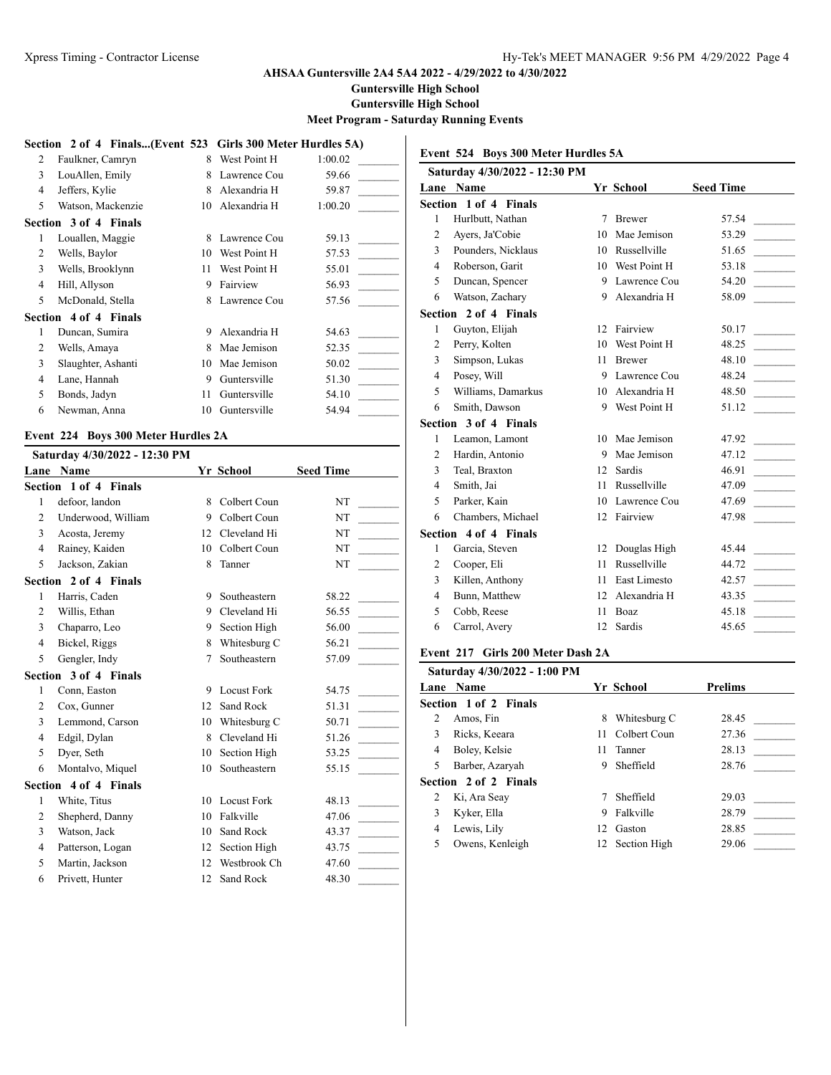**Guntersville High School**

**Guntersville High School**

### **Meet Program - Saturday Running Events**

|                | Section 2 of 4 Finals(Event 523 Girls 300 Meter Hurdles 5A) |    |              |         |
|----------------|-------------------------------------------------------------|----|--------------|---------|
| 2              | Faulkner, Camryn                                            | 8  | West Point H | 1:00.02 |
| 3              | LouAllen, Emily                                             | 8  | Lawrence Cou | 59.66   |
| 4              | Jeffers, Kylie                                              | 8  | Alexandria H | 59.87   |
| 5              | Watson, Mackenzie                                           | 10 | Alexandria H | 1:00.20 |
|                | Section 3 of 4 Finals                                       |    |              |         |
| 1              | Louallen, Maggie                                            | 8  | Lawrence Cou | 59.13   |
| 2              | Wells, Baylor                                               | 10 | West Point H | 57.53   |
| 3              | Wells, Brooklynn                                            | 11 | West Point H | 55.01   |
| $\overline{4}$ | Hill, Allyson                                               | 9  | Fairview     | 56.93   |
| 5              | McDonald, Stella                                            | 8  | Lawrence Cou | 57.56   |
|                | Section 4 of 4 Finals                                       |    |              |         |
| 1              | Duncan, Sumira                                              | 9  | Alexandria H | 54.63   |
| 2              | Wells, Amaya                                                | 8  | Mae Jemison  | 52.35   |
| 3              | Slaughter, Ashanti                                          | 10 | Mae Jemison  | 50.02   |
| $\overline{4}$ | Lane, Hannah                                                | 9  | Guntersville | 51.30   |
| 5              | Bonds, Jadyn                                                | 11 | Guntersville | 54.10   |
| 6              | Newman, Anna                                                | 10 | Guntersville | 54.94   |

## **Event 224 Boys 300 Meter Hurdles 2A**

|                | Saturday 4/30/2022 - 12:30 PM |    |                    |                  |
|----------------|-------------------------------|----|--------------------|------------------|
|                | Lane Name                     |    | Yr School          | <b>Seed Time</b> |
|                | Section 1 of 4 Finals         |    |                    |                  |
| $\mathbf{1}$   | defoor, landon                | 8  | Colbert Coun       | NT               |
| $\overline{c}$ | Underwood, William            | 9  | Colbert Coun       | NT               |
| 3              | Acosta, Jeremy                | 12 | Cleveland Hi       | NT               |
| $\overline{4}$ | Rainey, Kaiden                | 10 | Colbert Coun       | NT               |
| 5              | Jackson, Zakian               | 8  | Tanner             | NT               |
|                | Section 2 of 4 Finals         |    |                    |                  |
| $\mathbf{1}$   | Harris, Caden                 | 9  | Southeastern       | 58.22            |
| $\overline{c}$ | Willis, Ethan                 | 9  | Cleveland Hi       | 56.55            |
| 3              | Chaparro, Leo                 | 9  | Section High       | 56.00            |
| 4              | Bickel, Riggs                 | 8  | Whitesburg C       | 56.21            |
| 5              | Gengler, Indy                 | 7  | Southeastern       | 57.09            |
|                | Section 3 of 4 Finals         |    |                    |                  |
| 1              | Conn, Easton                  | 9  | <b>Locust Fork</b> | 54.75            |
| 2              | Cox, Gunner                   | 12 | Sand Rock          | 51.31            |
| 3              | Lemmond, Carson               | 10 | Whitesburg C       | 50.71            |
| $\overline{4}$ | Edgil, Dylan                  | 8  | Cleveland Hi       | 51.26            |
| 5              | Dyer, Seth                    | 10 | Section High       | 53.25            |
| 6              | Montalvo, Miquel              | 10 | Southeastern       | 55.15            |
|                | Section 4 of 4 Finals         |    |                    |                  |
| $\mathbf{1}$   | White, Titus                  | 10 | Locust Fork        | 48.13            |
| $\overline{2}$ | Shepherd, Danny               | 10 | Falkville          | 47.06            |
| 3              | Watson, Jack                  | 10 | Sand Rock          | 43.37            |
| $\overline{4}$ | Patterson, Logan              | 12 | Section High       | 43.75            |
| 5              | Martin, Jackson               | 12 | Westbrook Ch       | 47.60            |
| 6              | Privett, Hunter               | 12 | Sand Rock          | 48.30            |
|                |                               |    |                    |                  |

| Event 524 Boys 300 Meter Hurdles 5A |                               |    |               |                  |  |  |
|-------------------------------------|-------------------------------|----|---------------|------------------|--|--|
|                                     | Saturday 4/30/2022 - 12:30 PM |    |               |                  |  |  |
| Lane                                | <b>Name</b>                   |    | Yr School     | <b>Seed Time</b> |  |  |
|                                     | Section 1 of 4 Finals         |    |               |                  |  |  |
| 1                                   | Hurlbutt, Nathan              | 7  | <b>Brewer</b> | 57.54            |  |  |
| $\overline{2}$                      | Ayers, Ja'Cobie               | 10 | Mae Jemison   | 53.29            |  |  |
| 3                                   | Pounders, Nicklaus            | 10 | Russellville  | 51.65            |  |  |
| $\overline{4}$                      | Roberson, Garit               | 10 | West Point H  | 53.18            |  |  |
| 5                                   | Duncan, Spencer               | 9  | Lawrence Cou  | 54.20            |  |  |
| 6                                   | Watson, Zachary               | 9  | Alexandria H  | 58.09            |  |  |
|                                     | Section 2 of 4 Finals         |    |               |                  |  |  |
| 1                                   | Guyton, Elijah                | 12 | Fairview      | 50.17            |  |  |
| $\overline{2}$                      | Perry, Kolten                 | 10 | West Point H  | 48.25            |  |  |
| 3                                   | Simpson, Lukas                | 11 | <b>Brewer</b> | 48.10            |  |  |
| $\overline{4}$                      | Posey, Will                   | 9  | Lawrence Cou  | 48.24            |  |  |
| 5                                   | Williams, Damarkus            | 10 | Alexandria H  | 48.50            |  |  |
| 6                                   | Smith, Dawson                 | 9  | West Point H  | 51.12            |  |  |
|                                     | Section 3 of 4 Finals         |    |               |                  |  |  |
| 1                                   | Leamon, Lamont                | 10 | Mae Jemison   | 47.92            |  |  |
| $\overline{c}$                      | Hardin, Antonio               | 9  | Mae Jemison   | 47.12            |  |  |
| 3                                   | Teal, Braxton                 | 12 | Sardis        | 46.91            |  |  |
| $\overline{4}$                      | Smith, Jai                    | 11 | Russellville  | 47.09            |  |  |
| 5                                   | Parker, Kain                  | 10 | Lawrence Cou  | 47.69            |  |  |
| 6                                   | Chambers, Michael             | 12 | Fairview      | 47.98            |  |  |
|                                     | Section 4 of 4 Finals         |    |               |                  |  |  |
| 1                                   | Garcia, Steven                | 12 | Douglas High  | 45.44            |  |  |
| $\overline{2}$                      | Cooper, Eli                   | 11 | Russellville  | 44.72            |  |  |
| 3                                   | Killen, Anthony               | 11 | East Limesto  | 42.57            |  |  |
| $\overline{4}$                      | Bunn, Matthew                 | 12 | Alexandria H  | 43.35            |  |  |
| 5                                   | Cobb, Reese                   | 11 | <b>Boaz</b>   | 45.18            |  |  |
| 6                                   | Carrol, Avery                 | 12 | Sardis        | 45.65            |  |  |
|                                     |                               |    |               |                  |  |  |

#### **Event 217 Girls 200 Meter Dash 2A**

|    | Saturday 4/30/2022 - 1:00 PM |    |                 |                |
|----|------------------------------|----|-----------------|----------------|
|    | <b>Lane Name</b>             |    | Yr School       | <b>Prelims</b> |
|    | <b>Section 1 of 2 Finals</b> |    |                 |                |
| 2  | Amos, Fin                    | 8  | Whitesburg C    | 28.45          |
| 3  | Ricks, Keeara                |    | 11 Colbert Coun | 27.36          |
| 4  | Boley, Kelsie                | 11 | Tanner          | 28.13          |
| 5. | Barber, Azaryah              | 9  | Sheffield       | 28.76          |
|    | <b>Section 2 of 2 Finals</b> |    |                 |                |
| 2  | Ki, Ara Seay                 |    | Sheffield       | 29.03          |
| 3  | Kyker, Ella                  | 9  | Falkville       | 28.79          |
| 4  | Lewis, Lily                  | 12 | Gaston          | 28.85          |
| 5  | Owens, Kenleigh              |    | 12 Section High | 29.06          |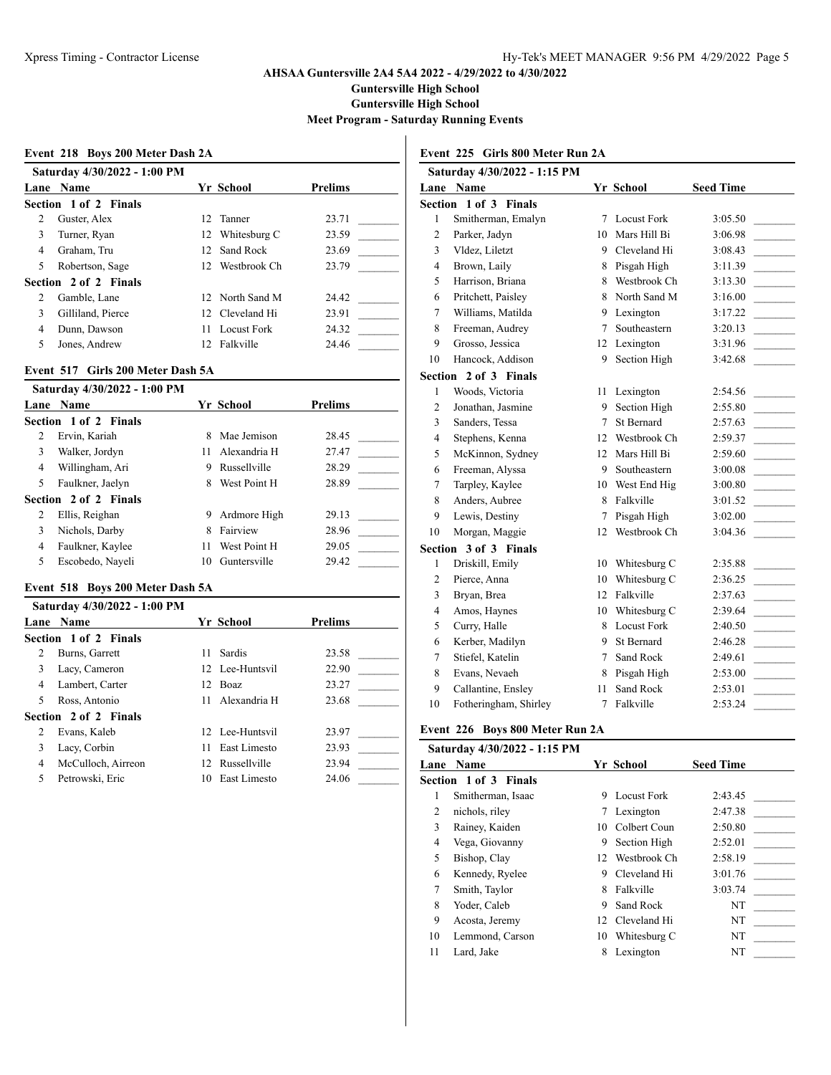**Guntersville High School**

**Guntersville High School**

**Meet Program - Saturday Running Events**

#### **Event 218 Boys 200 Meter Dash 2A**

|   | Saturday 4/30/2022 - 1:00 PM<br>Lane Name | Yr School       | <b>Prelims</b> |  |
|---|-------------------------------------------|-----------------|----------------|--|
|   | Section 1 of 2 Finals                     |                 |                |  |
| 2 | Guster, Alex                              | 12 Tanner       | 23.71          |  |
| 3 | Turner, Ryan                              | 12 Whitesburg C | 23.59          |  |
| 4 | Graham, Tru                               | 12 Sand Rock    | 23.69          |  |
| 5 | Robertson, Sage                           | 12 Westbrook Ch | 23.79          |  |
|   | Section 2 of 2 Finals                     |                 |                |  |
| 2 | Gamble, Lane                              | 12 North Sand M | 24.42          |  |
| 3 | Gilliland, Pierce                         | 12 Cleveland Hi | 23.91          |  |
| 4 | Dunn, Dawson                              | 11 Locust Fork  | 24.32          |  |
| 5 | Jones, Andrew                             | 12 Falkville    | 24.46          |  |

#### **Event 517 Girls 200 Meter Dash 5A**

|   | Saturday 4/30/2022 - 1:00 PM |    |              |                |  |
|---|------------------------------|----|--------------|----------------|--|
|   | Lane Name                    |    | Yr School    | <b>Prelims</b> |  |
|   | Section 1 of 2 Finals        |    |              |                |  |
| 2 | Ervin, Kariah                | 8  | Mae Jemison  | 28.45          |  |
| 3 | Walker, Jordyn               | 11 | Alexandria H | 27.47          |  |
| 4 | Willingham, Ari              | 9  | Russellville | 28.29          |  |
| 5 | Faulkner, Jaelyn             | 8  | West Point H | 28.89          |  |
|   | Section 2 of 2 Finals        |    |              |                |  |
| 2 | Ellis, Reighan               | 9  | Ardmore High | 29.13          |  |
| 3 | Nichols, Darby               | 8  | Fairview     | 28.96          |  |
| 4 | Faulkner, Kaylee             | 11 | West Point H | 29.05          |  |
| 5 | Escobedo, Nayeli             | 10 | Guntersville | 29.42          |  |
|   |                              |    |              |                |  |

#### **Event 518 Boys 200 Meter Dash 5A**

|   | Saturday 4/30/2022 - 1:00 PM |     |                  |                |  |
|---|------------------------------|-----|------------------|----------------|--|
|   | Lane Name                    |     | <b>Yr School</b> | <b>Prelims</b> |  |
|   | <b>Section 1 of 2 Finals</b> |     |                  |                |  |
| 2 | Burns, Garrett               | 11  | Sardis           | 23.58          |  |
| 3 | Lacy, Cameron                |     | 12 Lee-Huntsvil  | 22.90          |  |
| 4 | Lambert, Carter              | 12. | Boaz             | 23.27          |  |
| 5 | Ross, Antonio                | 11  | Alexandria H     | 23.68          |  |
|   | Section 2 of 2 Finals        |     |                  |                |  |
| 2 | Evans, Kaleb                 |     | 12 Lee-Huntsvil  | 23.97          |  |
| 3 | Lacy, Corbin                 | 11  | East Limesto     | 23.93          |  |
| 4 | McCulloch, Airreon           |     | 12 Russellville  | 23.94          |  |
|   | Petrowski, Eric              | 10  | East Limesto     | 24.06          |  |

**Event 225 Girls 800 Meter Run 2A**

| Saturday 4/30/2022 - 1:15 PM |                             |                |                    |                  |  |
|------------------------------|-----------------------------|----------------|--------------------|------------------|--|
| Lane                         | Name                        |                | Yr School          | <b>Seed Time</b> |  |
| Section                      | $1$ of $3$<br><b>Finals</b> |                |                    |                  |  |
| 1                            | Smitherman, Emalyn          | 7              | <b>Locust Fork</b> | 3:05.50          |  |
| $\overline{2}$               | Parker, Jadyn               | 10             | Mars Hill Bi       | 3:06.98          |  |
| 3                            | Vldez, Liletzt              | 9              | Cleveland Hi       | 3:08.43          |  |
| 4                            | Brown, Laily                | 8              | Pisgah High        | 3:11.39          |  |
| 5                            | Harrison, Briana            | 8              | Westbrook Ch       | 3:13.30          |  |
| 6                            | Pritchett, Paisley          | 8              | North Sand M       | 3:16.00          |  |
| 7                            | Williams, Matilda           | 9              | Lexington          | 3:17.22          |  |
| 8                            | Freeman, Audrey             | 7              | Southeastern       | 3:20.13          |  |
| 9                            | Grosso, Jessica             | 12             | Lexington          | 3:31.96          |  |
| 10                           | Hancock, Addison            | 9              | Section High       | 3:42.68          |  |
|                              | Section 2 of 3 Finals       |                |                    |                  |  |
| 1                            | Woods, Victoria             | 11             | Lexington          | 2:54.56          |  |
| $\overline{c}$               | Jonathan, Jasmine           | 9              | Section High       | 2:55.80          |  |
| 3                            | Sanders, Tessa              | 7              | St Bernard         | 2:57.63          |  |
| 4                            | Stephens, Kenna             | 12             | Westbrook Ch       | 2:59.37          |  |
| 5                            | McKinnon, Sydney            | 12             | Mars Hill Bi       | 2:59.60          |  |
| 6                            | Freeman, Alyssa             | 9              | Southeastern       | 3:00.08          |  |
| 7                            | Tarpley, Kaylee             | 10             | West End Hig       | 3:00.80          |  |
| 8                            | Anders, Aubree              | 8              | Falkville          | 3:01.52          |  |
| 9                            | Lewis, Destiny              | 7              | Pisgah High        | 3:02.00          |  |
| 10                           | Morgan, Maggie              | 12             | Westbrook Ch       | 3:04.36          |  |
|                              | Section 3 of 3 Finals       |                |                    |                  |  |
| $\mathbf{1}$                 | Driskill, Emily             | 10             | Whitesburg C       | 2:35.88          |  |
| 2                            | Pierce, Anna                | 10             | Whitesburg C       | 2:36.25          |  |
| 3                            | Bryan, Brea                 | 12             | Falkville          | 2:37.63          |  |
| $\overline{4}$               | Amos, Haynes                | 10             | Whitesburg C       | 2:39.64          |  |
| 5                            | Curry, Halle                | 8              | <b>Locust Fork</b> | 2:40.50          |  |
| 6                            | Kerber, Madilyn             | 9              | <b>St Bernard</b>  | 2:46.28          |  |
| 7                            | Stiefel, Katelin            | 7              | Sand Rock          | 2:49.61          |  |
| 8                            | Evans, Nevaeh               | 8              | Pisgah High        | 2:53.00          |  |
| 9                            | Callantine, Ensley          | 11             | Sand Rock          | 2:53.01          |  |
| 10                           | Fotheringham, Shirley       | $\overline{7}$ | Falkville          | 2:53.24          |  |

#### **Event 226 Boys 800 Meter Run 2A**

|      | Saturday 4/30/2022 - 1:15 PM |    |              |                  |
|------|------------------------------|----|--------------|------------------|
| Lane | <b>Name</b>                  |    | Yr School    | <b>Seed Time</b> |
|      | Section 1 of 3 Finals        |    |              |                  |
| 1    | Smitherman, Isaac            | 9  | Locust Fork  | 2:43.45          |
| 2    | nichols, riley               | 7  | Lexington    | 2:47.38          |
| 3    | Rainey, Kaiden               | 10 | Colbert Coun | 2:50.80          |
| 4    | Vega, Giovanny               | 9  | Section High | 2:52.01          |
| 5    | Bishop, Clay                 | 12 | Westbrook Ch | 2:58.19          |
| 6    | Kennedy, Ryelee              | 9  | Cleveland Hi | 3:01.76          |
| 7    | Smith, Taylor                | 8  | Falkville    | 3:03.74          |
| 8    | Yoder, Caleb                 | 9  | Sand Rock    | NT               |
| 9    | Acosta, Jeremy               | 12 | Cleveland Hi | NT               |
| 10   | Lemmond, Carson              | 10 | Whitesburg C | NT               |
| 11   | Lard, Jake                   | 8  | Lexington    | NT               |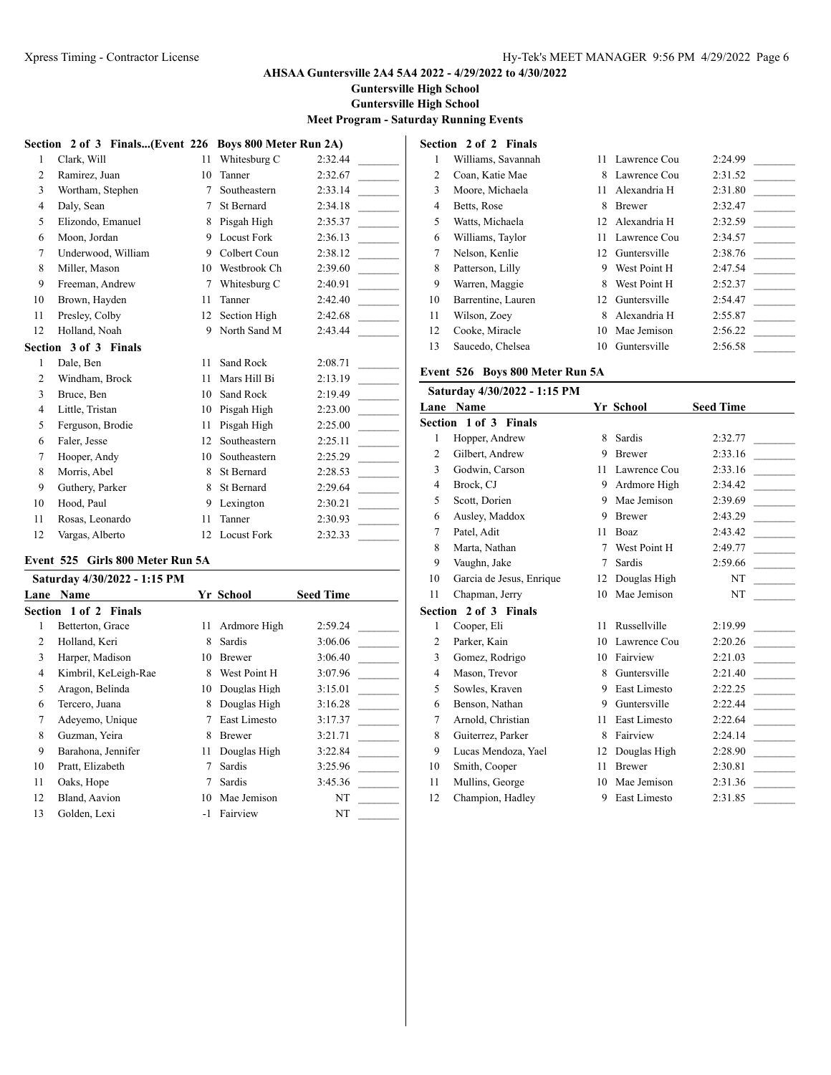**Guntersville High School**

**Guntersville High School**

## **Meet Program - Saturday Running Events**

| Clark, Will           | 11 | Whitesburg C       | 2:32.44                                                |
|-----------------------|----|--------------------|--------------------------------------------------------|
| Ramirez, Juan         | 10 | Tanner             | 2:32.67                                                |
| Wortham, Stephen      | 7  | Southeastern       | 2:33.14                                                |
| Daly, Sean            | 7  | St Bernard         | 2:34.18                                                |
| Elizondo, Emanuel     | 8  | Pisgah High        | 2:35.37                                                |
| Moon, Jordan          | 9  | <b>Locust Fork</b> | 2:36.13                                                |
| Underwood, William    | 9  | Colbert Coun       | 2:38.12                                                |
| Miller, Mason         | 10 | Westbrook Ch       | 2:39.60                                                |
| Freeman, Andrew       | 7  | Whitesburg C       | 2:40.91                                                |
| Brown, Hayden         | 11 | Tanner             | 2:42.40                                                |
| Presley, Colby        | 12 | Section High       | 2:42.68                                                |
| Holland, Noah         | 9  | North Sand M       | 2:43.44                                                |
| Section 3 of 3 Finals |    |                    |                                                        |
| Dale, Ben             | 11 | Sand Rock          | 2:08.71                                                |
| Windham, Brock        | 11 | Mars Hill Bi       | 2:13.19                                                |
| Bruce, Ben            | 10 | Sand Rock          | 2:19.49                                                |
| Little, Tristan       | 10 | Pisgah High        | 2:23.00                                                |
| Ferguson, Brodie      | 11 | Pisgah High        | 2:25.00                                                |
| Faler, Jesse          | 12 | Southeastern       | 2:25.11                                                |
| Hooper, Andy          | 10 | Southeastern       | 2:25.29                                                |
| Morris, Abel          | 8  | St Bernard         | 2:28.53                                                |
| Guthery, Parker       | 8  | St Bernard         | 2:29.64                                                |
| Hood, Paul            | 9  | Lexington          | 2:30.21                                                |
|                       |    |                    |                                                        |
| Rosas, Leonardo       | 11 | Tanner             | 2:30.93                                                |
|                       |    |                    | Section 2 of 3 Finals(Event 226 Boys 800 Meter Run 2A) |

### **Event 525 Girls 800 Meter Run 5A**

|      | Saturday 4/30/2022 - 1:15 PM |    |               |                  |
|------|------------------------------|----|---------------|------------------|
| Lane | <b>Name</b>                  |    | Yr School     | <b>Seed Time</b> |
|      | <b>Section 1 of 2 Finals</b> |    |               |                  |
| 1    | Betterton, Grace             | 11 | Ardmore High  | 2:59.24          |
| 2    | Holland, Keri                | 8  | Sardis        | 3:06.06          |
| 3    | Harper, Madison              | 10 | <b>Brewer</b> | 3:06.40          |
| 4    | Kimbril, KeLeigh-Rae         | 8  | West Point H  | 3:07.96          |
| 5    | Aragon, Belinda              | 10 | Douglas High  | 3:15.01          |
| 6    | Tercero, Juana               | 8  | Douglas High  | 3:16.28          |
| 7    | Adeyemo, Unique              |    | East Limesto  | 3:17.37          |
| 8    | Guzman, Yeira                | 8  | Brewer        | 3:21.71          |
| 9    | Barahona, Jennifer           | 11 | Douglas High  | 3:22.84          |
| 10   | Pratt, Elizabeth             |    | Sardis        | 3:25.96          |
| 11   | Oaks, Hope                   |    | Sardis        | 3:45.36          |
| 12   | Bland, Aavion                | 10 | Mae Jemison   | NT               |
| 13   | Golden, Lexi                 |    | Fairview      | NT               |

|    | Section 2 of 2 Finals |    |                 |         |  |
|----|-----------------------|----|-----------------|---------|--|
| 1  | Williams, Savannah    |    | 11 Lawrence Cou | 2:24.99 |  |
| 2  | Coan, Katie Mae       | 8  | Lawrence Cou    | 2:31.52 |  |
| 3  | Moore, Michaela       | 11 | Alexandria H    | 2:31.80 |  |
| 4  | Betts, Rose           | 8  | <b>Brewer</b>   | 2:32.47 |  |
| 5  | Watts, Michaela       |    | 12 Alexandria H | 2:32.59 |  |
| 6  | Williams, Taylor      | 11 | Lawrence Cou    | 2:34.57 |  |
| 7  | Nelson, Kenlie        |    | 12 Guntersville | 2:38.76 |  |
| 8  | Patterson, Lilly      | 9  | West Point H    | 2:47.54 |  |
| 9  | Warren, Maggie        | 8  | West Point H    | 2:52.37 |  |
| 10 | Barrentine, Lauren    | 12 | Guntersville    | 2:54.47 |  |
| 11 | Wilson, Zoey          | 8  | Alexandria H    | 2:55.87 |  |
| 12 | Cooke, Miracle        | 10 | Mae Jemison     | 2:56.22 |  |
| 13 | Saucedo, Chelsea      | 10 | Guntersville    | 2:56.58 |  |

# **Event 526 Boys 800 Meter Run 5A**

| Saturday 4/30/2022 - 1:15 PM |                              |    |               |                  |
|------------------------------|------------------------------|----|---------------|------------------|
|                              | <b>Lane Name</b>             |    | Yr School     | <b>Seed Time</b> |
|                              | <b>Section 1 of 3 Finals</b> |    |               |                  |
| 1                            | Hopper, Andrew               | 8  | Sardis        | 2:32.77          |
| $\overline{2}$               | Gilbert, Andrew              | 9  | <b>Brewer</b> | 2:33.16          |
| 3                            | Godwin, Carson               | 11 | Lawrence Cou  | 2:33.16          |
| 4                            | Brock, CJ                    | 9  | Ardmore High  | 2:34.42          |
| 5                            | Scott, Dorien                | 9  | Mae Jemison   | 2:39.69          |
| 6                            | Ausley, Maddox               | 9  | <b>Brewer</b> | 2:43.29          |
| 7                            | Patel, Adit                  | 11 | <b>Boaz</b>   | 2:43.42          |
| 8                            | Marta, Nathan                | 7  | West Point H  | 2:49.77          |
| 9                            | Vaughn, Jake                 | 7  | Sardis        | 2:59.66          |
| 10                           | Garcia de Jesus, Enrique     | 12 | Douglas High  | NT               |
| 11                           | Chapman, Jerry               | 10 | Mae Jemison   | <b>NT</b>        |
|                              | Section 2 of 3 Finals        |    |               |                  |
| 1                            | Cooper, Eli                  | 11 | Russellville  | 2:19.99          |
| 2                            | Parker, Kain                 | 10 | Lawrence Cou  | 2:20.26          |
| 3                            | Gomez, Rodrigo               | 10 | Fairview      | 2:21.03          |
| $\overline{4}$               | Mason, Trevor                | 8  | Guntersville  | 2:21.40          |
| 5                            | Sowles, Kraven               | 9  | East Limesto  | 2:22.25          |
| 6                            | Benson, Nathan               | 9  | Guntersville  | 2:22.44          |
| 7                            | Arnold, Christian            | 11 | East Limesto  | 2:22.64          |
| 8                            | Guiterrez, Parker            | 8  | Fairview      | 2:24.14          |
| 9                            | Lucas Mendoza, Yael          | 12 | Douglas High  | 2:28.90          |
| 10                           | Smith, Cooper                | 11 | <b>Brewer</b> | 2:30.81          |
| 11                           | Mullins, George              | 10 | Mae Jemison   | 2:31.36          |
| 12                           | Champion, Hadley             | 9  | East Limesto  | 2:31.85          |